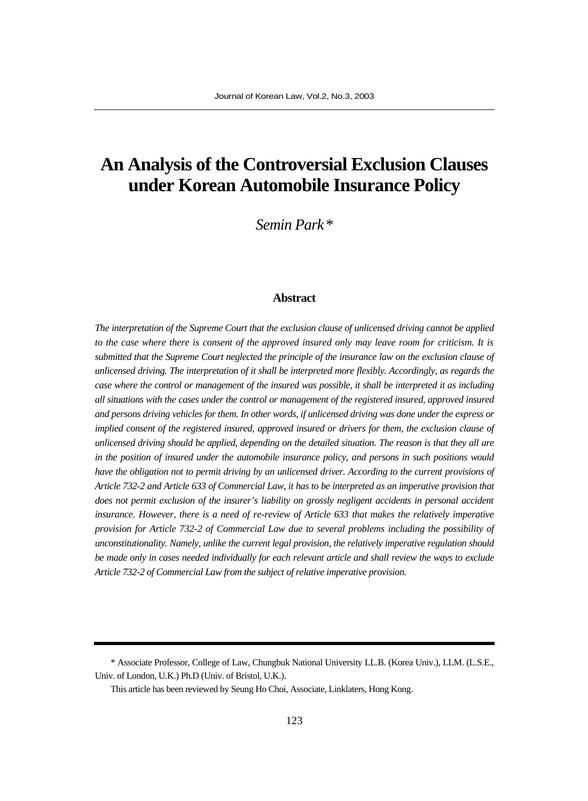# **An Analysis of the Controversial Exclusion Clauses under Korean Automobile Insurance Policy**

*Semin Park\**

#### **Abstract**

*The interpretation of the Supreme Court that the exclusion clause of unlicensed driving cannot be applied to the case where there is consent of the approved insured only may leave room for criticism. It is submitted that the Supreme Court neglected the principle of the insurance law on the exclusion clause of unlicensed driving. The interpretation of it shall be interpreted more flexibly. Accordingly, as regards the case where the control or management of the insured was possible, it shall be interpreted it as including all situations with the cases under the control or management of the registered insured, approved insured and persons driving vehicles for them. In other words, if unlicensed driving was done under the express or implied consent of the registered insured, approved insured or drivers for them, the exclusion clause of unlicensed driving should be applied, depending on the detailed situation. The reason is that they all are in the position of insured under the automobile insurance policy, and persons in such positions would have the obligation not to permit driving by an unlicensed driver. According to the current provisions of Article 732-2 and Article 633 of Commercial Law, it has to be interpreted as an imperative provision that does not permit exclusion of the insurer's liability on grossly negligent accidents in personal accident insurance. However, there is a need of re-review of Article 633 that makes the relatively imperative provision for Article 732-2 of Commercial Law due to several problems including the possibility of unconstitutionality. Namely, unlike the current legal provision, the relatively imperative regulation should be made only in cases needed individually for each relevant article and shall review the ways to exclude Article 732-2 of Commercial Law from the subject of relative imperative provision.*

<sup>\*</sup> Associate Professor, College of Law, Chungbuk National University LL.B. (Korea Univ.), LLM. (L.S.E., Univ. of London, U.K.) Ph.D (Univ. of Bristol, U.K.).

This article has been reviewed by Seung Ho Choi, Associate, Linklaters, Hong Kong.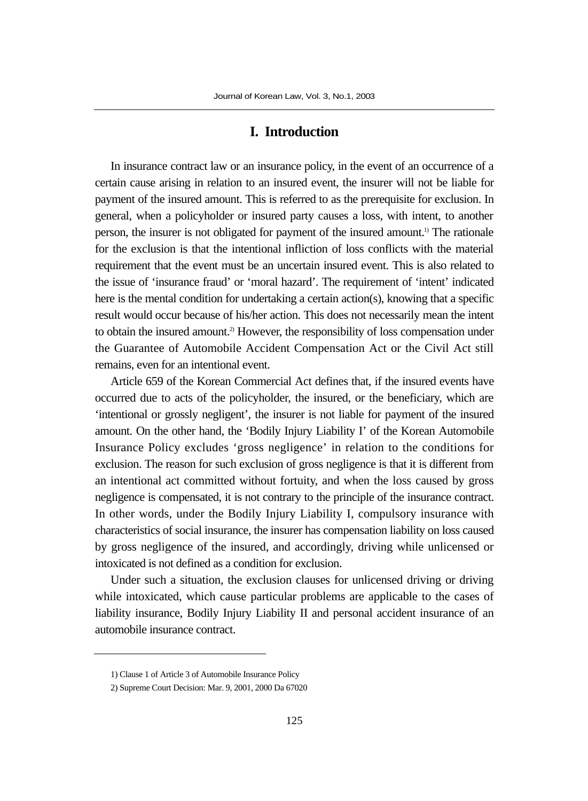## **I. Introduction**

In insurance contract law or an insurance policy, in the event of an occurrence of a certain cause arising in relation to an insured event, the insurer will not be liable for payment of the insured amount. This is referred to as the prerequisite for exclusion. In general, when a policyholder or insured party causes a loss, with intent, to another person, the insurer is not obligated for payment of the insured amount.1) The rationale for the exclusion is that the intentional infliction of loss conflicts with the material requirement that the event must be an uncertain insured event. This is also related to the issue of 'insurance fraud' or 'moral hazard'. The requirement of 'intent' indicated here is the mental condition for undertaking a certain action(s), knowing that a specific result would occur because of his/her action. This does not necessarily mean the intent to obtain the insured amount.2) However, the responsibility of loss compensation under the Guarantee of Automobile Accident Compensation Act or the Civil Act still remains, even for an intentional event.

Article 659 of the Korean Commercial Act defines that, if the insured events have occurred due to acts of the policyholder, the insured, or the beneficiary, which are 'intentional or grossly negligent', the insurer is not liable for payment of the insured amount. On the other hand, the 'Bodily Injury Liability I' of the Korean Automobile Insurance Policy excludes 'gross negligence' in relation to the conditions for exclusion. The reason for such exclusion of gross negligence is that it is different from an intentional act committed without fortuity, and when the loss caused by gross negligence is compensated, it is not contrary to the principle of the insurance contract. In other words, under the Bodily Injury Liability I, compulsory insurance with characteristics of social insurance, the insurer has compensation liability on loss caused by gross negligence of the insured, and accordingly, driving while unlicensed or intoxicated is not defined as a condition for exclusion.

Under such a situation, the exclusion clauses for unlicensed driving or driving while intoxicated, which cause particular problems are applicable to the cases of liability insurance, Bodily Injury Liability II and personal accident insurance of an automobile insurance contract.

<sup>1)</sup> Clause 1 of Article 3 of Automobile Insurance Policy

<sup>2)</sup> Supreme Court Decision: Mar. 9, 2001, 2000 Da 67020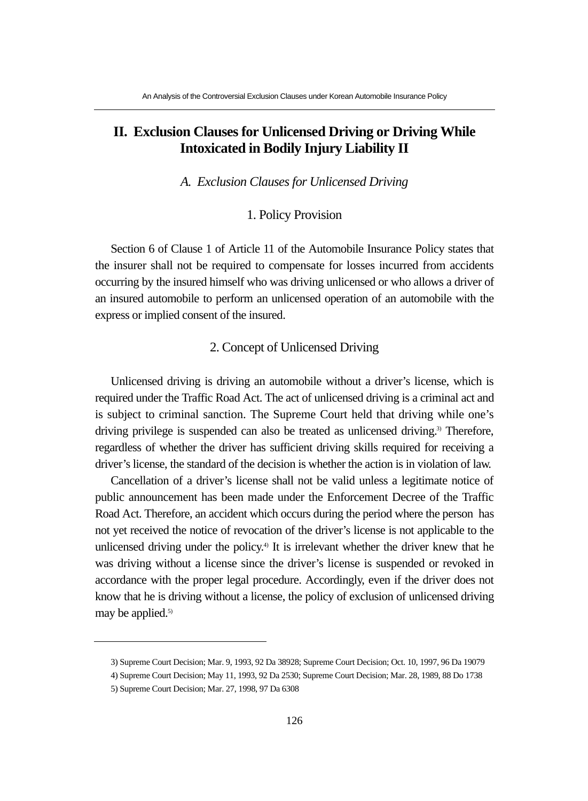# **II. Exclusion Clauses for Unlicensed Driving or Driving While Intoxicated in Bodily Injury Liability II**

*A. Exclusion Clauses for Unlicensed Driving* 

# 1. Policy Provision

Section 6 of Clause 1 of Article 11 of the Automobile Insurance Policy states that the insurer shall not be required to compensate for losses incurred from accidents occurring by the insured himself who was driving unlicensed or who allows a driver of an insured automobile to perform an unlicensed operation of an automobile with the express or implied consent of the insured.

## 2. Concept of Unlicensed Driving

Unlicensed driving is driving an automobile without a driver's license, which is required under the Traffic Road Act. The act of unlicensed driving is a criminal act and is subject to criminal sanction. The Supreme Court held that driving while one's driving privilege is suspended can also be treated as unlicensed driving.<sup>3)</sup> Therefore, regardless of whether the driver has sufficient driving skills required for receiving a driver's license, the standard of the decision is whether the action is in violation of law.

Cancellation of a driver's license shall not be valid unless a legitimate notice of public announcement has been made under the Enforcement Decree of the Traffic Road Act. Therefore, an accident which occurs during the period where the person has not yet received the notice of revocation of the driver's license is not applicable to the unlicensed driving under the policy.<sup>4)</sup> It is irrelevant whether the driver knew that he was driving without a license since the driver's license is suspended or revoked in accordance with the proper legal procedure. Accordingly, even if the driver does not know that he is driving without a license, the policy of exclusion of unlicensed driving may be applied.<sup>5)</sup>

<sup>3)</sup> Supreme Court Decision; Mar. 9, 1993, 92 Da 38928; Supreme Court Decision; Oct. 10, 1997, 96 Da 19079

<sup>4)</sup> Supreme Court Decision; May 11, 1993, 92 Da 2530; Supreme Court Decision; Mar. 28, 1989, 88 Do 1738 5) Supreme Court Decision; Mar. 27, 1998, 97 Da 6308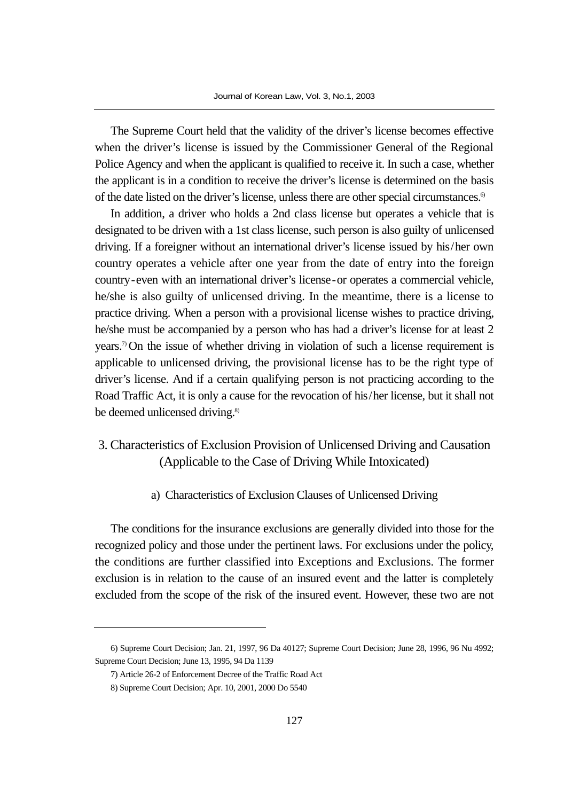The Supreme Court held that the validity of the driver's license becomes effective when the driver's license is issued by the Commissioner General of the Regional Police Agency and when the applicant is qualified to receive it. In such a case, whether the applicant is in a condition to receive the driver's license is determined on the basis of the date listed on the driver's license, unless there are other special circumstances.6)

In addition, a driver who holds a 2nd class license but operates a vehicle that is designated to be driven with a 1st class license, such person is also guilty of unlicensed driving. If a foreigner without an international driver's license issued by his/her own country operates a vehicle after one year from the date of entry into the foreign country-even with an international driver's license-or operates a commercial vehicle, he/she is also guilty of unlicensed driving. In the meantime, there is a license to practice driving. When a person with a provisional license wishes to practice driving, he/she must be accompanied by a person who has had a driver's license for at least 2 years.7) On the issue of whether driving in violation of such a license requirement is applicable to unlicensed driving, the provisional license has to be the right type of driver's license. And if a certain qualifying person is not practicing according to the Road Traffic Act, it is only a cause for the revocation of his/her license, but it shall not be deemed unlicensed driving.<sup>8)</sup>

# 3. Characteristics of Exclusion Provision of Unlicensed Driving and Causation (Applicable to the Case of Driving While Intoxicated)

a) Characteristics of Exclusion Clauses of Unlicensed Driving

The conditions for the insurance exclusions are generally divided into those for the recognized policy and those under the pertinent laws. For exclusions under the policy, the conditions are further classified into Exceptions and Exclusions. The former exclusion is in relation to the cause of an insured event and the latter is completely excluded from the scope of the risk of the insured event. However, these two are not

<sup>6)</sup> Supreme Court Decision; Jan. 21, 1997, 96 Da 40127; Supreme Court Decision; June 28, 1996, 96 Nu 4992; Supreme Court Decision; June 13, 1995, 94 Da 1139

<sup>7)</sup> Article 26-2 of Enforcement Decree of the Traffic Road Act

<sup>8)</sup> Supreme Court Decision; Apr. 10, 2001, 2000 Do 5540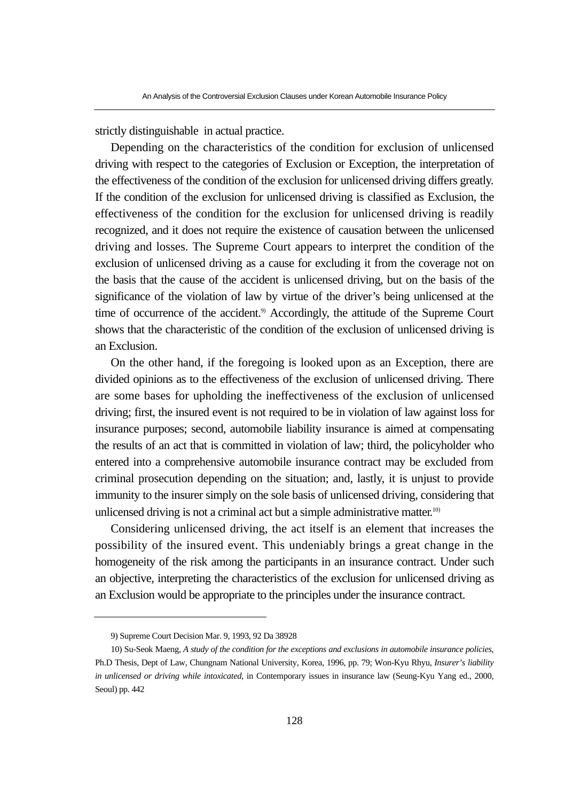strictly distinguishable in actual practice.

Depending on the characteristics of the condition for exclusion of unlicensed driving with respect to the categories of Exclusion or Exception, the interpretation of the effectiveness of the condition of the exclusion for unlicensed driving differs greatly. If the condition of the exclusion for unlicensed driving is classified as Exclusion, the effectiveness of the condition for the exclusion for unlicensed driving is readily recognized, and it does not require the existence of causation between the unlicensed driving and losses. The Supreme Court appears to interpret the condition of the exclusion of unlicensed driving as a cause for excluding it from the coverage not on the basis that the cause of the accident is unlicensed driving, but on the basis of the significance of the violation of law by virtue of the driver's being unlicensed at the time of occurrence of the accident.<sup>9)</sup> Accordingly, the attitude of the Supreme Court shows that the characteristic of the condition of the exclusion of unlicensed driving is an Exclusion.

On the other hand, if the foregoing is looked upon as an Exception, there are divided opinions as to the effectiveness of the exclusion of unlicensed driving. There are some bases for upholding the ineffectiveness of the exclusion of unlicensed driving; first, the insured event is not required to be in violation of law against loss for insurance purposes; second, automobile liability insurance is aimed at compensating the results of an act that is committed in violation of law; third, the policyholder who entered into a comprehensive automobile insurance contract may be excluded from criminal prosecution depending on the situation; and, lastly, it is unjust to provide immunity to the insurer simply on the sole basis of unlicensed driving, considering that unlicensed driving is not a criminal act but a simple administrative matter.<sup>10)</sup>

Considering unlicensed driving, the act itself is an element that increases the possibility of the insured event. This undeniably brings a great change in the homogeneity of the risk among the participants in an insurance contract. Under such an objective, interpreting the characteristics of the exclusion for unlicensed driving as an Exclusion would be appropriate to the principles under the insurance contract.

<sup>9)</sup> Supreme Court Decision Mar. 9, 1993, 92 Da 38928

<sup>10)</sup> Su-Seok Maeng, *A study of the condition for the exceptions and exclusions in automobile insurance policies*, Ph.D Thesis, Dept of Law, Chungnam National University, Korea, 1996, pp. 79; Won-Kyu Rhyu, *Insurer's liability in unlicensed or driving while intoxicated*, in Contemporary issues in insurance law (Seung-Kyu Yang ed., 2000, Seoul) pp. 442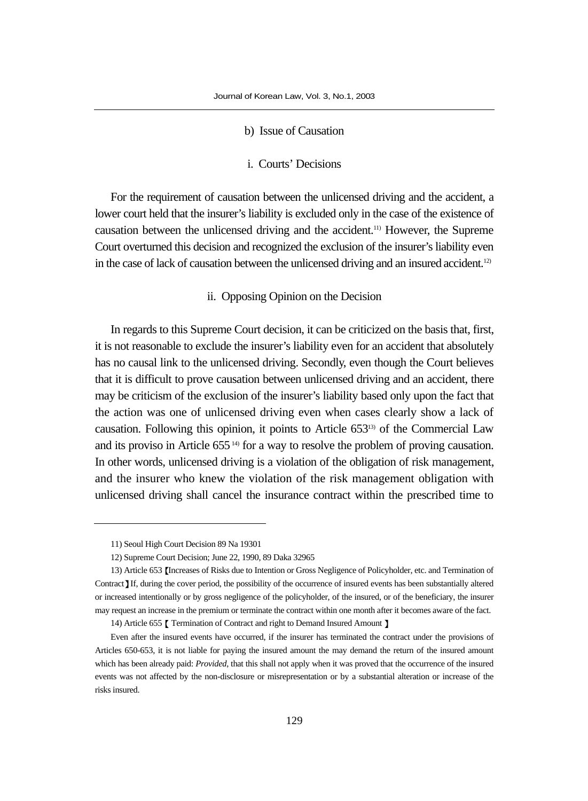#### b) Issue of Causation

#### i. Courts' Decisions

For the requirement of causation between the unlicensed driving and the accident, a lower court held that the insurer's liability is excluded only in the case of the existence of causation between the unlicensed driving and the accident.11) However, the Supreme Court overturned this decision and recognized the exclusion of the insurer's liability even in the case of lack of causation between the unlicensed driving and an insured accident.<sup>12)</sup>

#### ii. Opposing Opinion on the Decision

In regards to this Supreme Court decision, it can be criticized on the basis that, first, it is not reasonable to exclude the insurer's liability even for an accident that absolutely has no causal link to the unlicensed driving. Secondly, even though the Court believes that it is difficult to prove causation between unlicensed driving and an accident, there may be criticism of the exclusion of the insurer's liability based only upon the fact that the action was one of unlicensed driving even when cases clearly show a lack of causation. Following this opinion, it points to Article 65313) of the Commercial Law and its proviso in Article 655<sup>14)</sup> for a way to resolve the problem of proving causation. In other words, unlicensed driving is a violation of the obligation of risk management, and the insurer who knew the violation of the risk management obligation with unlicensed driving shall cancel the insurance contract within the prescribed time to

<sup>11)</sup> Seoul High Court Decision 89 Na 19301

<sup>12)</sup> Supreme Court Decision; June 22, 1990, 89 Daka 32965

<sup>13)</sup> Article 653 Increases of Risks due to Intention or Gross Negligence of Policyholder, etc. and Termination of Contract If, during the cover period, the possibility of the occurrence of insured events has been substantially altered or increased intentionally or by gross negligence of the policyholder, of the insured, or of the beneficiary, the insurer may request an increase in the premium or terminate the contract within one month after it becomes aware of the fact.

<sup>14)</sup> Article 655 [ Termination of Contract and right to Demand Insured Amount ]

Even after the insured events have occurred, if the insurer has terminated the contract under the provisions of Articles 650-653, it is not liable for paying the insured amount the may demand the return of the insured amount which has been already paid: *Provided*, that this shall not apply when it was proved that the occurrence of the insured events was not affected by the non-disclosure or misrepresentation or by a substantial alteration or increase of the risks insured.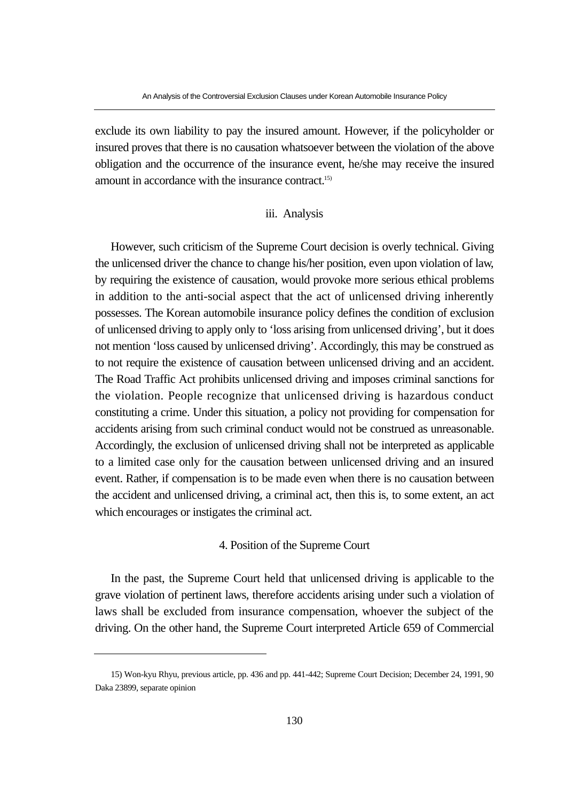exclude its own liability to pay the insured amount. However, if the policyholder or insured proves that there is no causation whatsoever between the violation of the above obligation and the occurrence of the insurance event, he/she may receive the insured amount in accordance with the insurance contract.15)

#### iii. Analysis

However, such criticism of the Supreme Court decision is overly technical. Giving the unlicensed driver the chance to change his/her position, even upon violation of law, by requiring the existence of causation, would provoke more serious ethical problems in addition to the anti-social aspect that the act of unlicensed driving inherently possesses. The Korean automobile insurance policy defines the condition of exclusion of unlicensed driving to apply only to 'loss arising from unlicensed driving', but it does not mention 'loss caused by unlicensed driving'. Accordingly, this may be construed as to not require the existence of causation between unlicensed driving and an accident. The Road Traffic Act prohibits unlicensed driving and imposes criminal sanctions for the violation. People recognize that unlicensed driving is hazardous conduct constituting a crime. Under this situation, a policy not providing for compensation for accidents arising from such criminal conduct would not be construed as unreasonable. Accordingly, the exclusion of unlicensed driving shall not be interpreted as applicable to a limited case only for the causation between unlicensed driving and an insured event. Rather, if compensation is to be made even when there is no causation between the accident and unlicensed driving, a criminal act, then this is, to some extent, an act which encourages or instigates the criminal act.

## 4. Position of the Supreme Court

In the past, the Supreme Court held that unlicensed driving is applicable to the grave violation of pertinent laws, therefore accidents arising under such a violation of laws shall be excluded from insurance compensation, whoever the subject of the driving. On the other hand, the Supreme Court interpreted Article 659 of Commercial

<sup>15)</sup> Won-kyu Rhyu, previous article, pp. 436 and pp. 441-442; Supreme Court Decision; December 24, 1991, 90 Daka 23899, separate opinion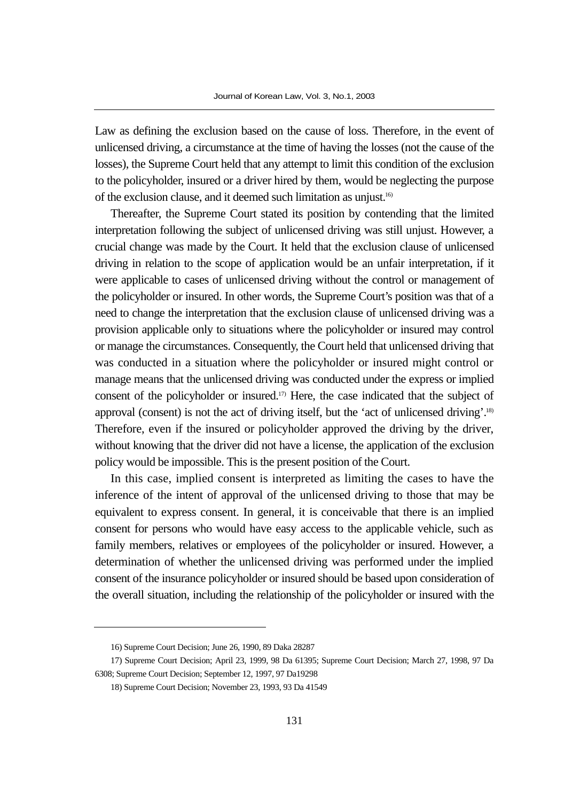Law as defining the exclusion based on the cause of loss. Therefore, in the event of unlicensed driving, a circumstance at the time of having the losses (not the cause of the losses), the Supreme Court held that any attempt to limit this condition of the exclusion to the policyholder, insured or a driver hired by them, would be neglecting the purpose of the exclusion clause, and it deemed such limitation as unjust.16)

Thereafter, the Supreme Court stated its position by contending that the limited interpretation following the subject of unlicensed driving was still unjust. However, a crucial change was made by the Court. It held that the exclusion clause of unlicensed driving in relation to the scope of application would be an unfair interpretation, if it were applicable to cases of unlicensed driving without the control or management of the policyholder or insured. In other words, the Supreme Court's position was that of a need to change the interpretation that the exclusion clause of unlicensed driving was a provision applicable only to situations where the policyholder or insured may control or manage the circumstances. Consequently, the Court held that unlicensed driving that was conducted in a situation where the policyholder or insured might control or manage means that the unlicensed driving was conducted under the express or implied consent of the policyholder or insured.17) Here, the case indicated that the subject of approval (consent) is not the act of driving itself, but the 'act of unlicensed driving'.18) Therefore, even if the insured or policyholder approved the driving by the driver, without knowing that the driver did not have a license, the application of the exclusion policy would be impossible. This is the present position of the Court.

In this case, implied consent is interpreted as limiting the cases to have the inference of the intent of approval of the unlicensed driving to those that may be equivalent to express consent. In general, it is conceivable that there is an implied consent for persons who would have easy access to the applicable vehicle, such as family members, relatives or employees of the policyholder or insured. However, a determination of whether the unlicensed driving was performed under the implied consent of the insurance policyholder or insured should be based upon consideration of the overall situation, including the relationship of the policyholder or insured with the

<sup>16)</sup> Supreme Court Decision; June 26, 1990, 89 Daka 28287

<sup>17)</sup> Supreme Court Decision; April 23, 1999, 98 Da 61395; Supreme Court Decision; March 27, 1998, 97 Da 6308; Supreme Court Decision; September 12, 1997, 97 Da19298

<sup>18)</sup> Supreme Court Decision; November 23, 1993, 93 Da 41549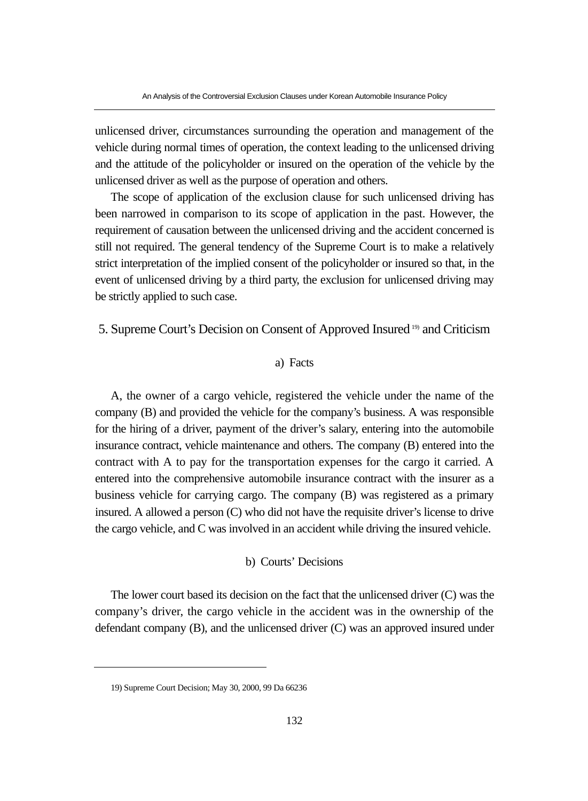unlicensed driver, circumstances surrounding the operation and management of the vehicle during normal times of operation, the context leading to the unlicensed driving and the attitude of the policyholder or insured on the operation of the vehicle by the unlicensed driver as well as the purpose of operation and others.

The scope of application of the exclusion clause for such unlicensed driving has been narrowed in comparison to its scope of application in the past. However, the requirement of causation between the unlicensed driving and the accident concerned is still not required. The general tendency of the Supreme Court is to make a relatively strict interpretation of the implied consent of the policyholder or insured so that, in the event of unlicensed driving by a third party, the exclusion for unlicensed driving may be strictly applied to such case.

5. Supreme Court's Decision on Consent of Approved Insured 19) and Criticism

#### a) Facts

A, the owner of a cargo vehicle, registered the vehicle under the name of the company (B) and provided the vehicle for the company's business. A was responsible for the hiring of a driver, payment of the driver's salary, entering into the automobile insurance contract, vehicle maintenance and others. The company (B) entered into the contract with A to pay for the transportation expenses for the cargo it carried. A entered into the comprehensive automobile insurance contract with the insurer as a business vehicle for carrying cargo. The company (B) was registered as a primary insured. A allowed a person (C) who did not have the requisite driver's license to drive the cargo vehicle, and C was involved in an accident while driving the insured vehicle.

#### b) Courts' Decisions

The lower court based its decision on the fact that the unlicensed driver (C) was the company's driver, the cargo vehicle in the accident was in the ownership of the defendant company (B), and the unlicensed driver (C) was an approved insured under

<sup>19)</sup> Supreme Court Decision; May 30, 2000, 99 Da 66236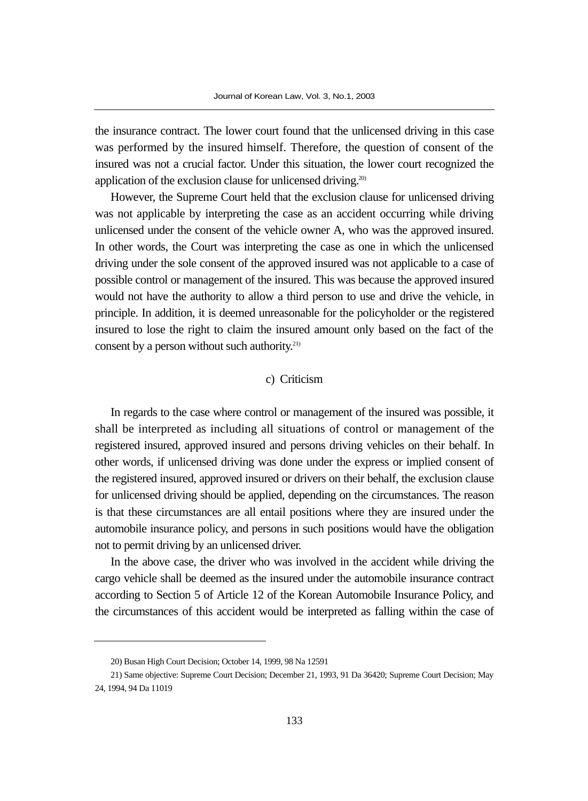the insurance contract. The lower court found that the unlicensed driving in this case was performed by the insured himself. Therefore, the question of consent of the insured was not a crucial factor. Under this situation, the lower court recognized the application of the exclusion clause for unlicensed driving.<sup>20)</sup>

However, the Supreme Court held that the exclusion clause for unlicensed driving was not applicable by interpreting the case as an accident occurring while driving unlicensed under the consent of the vehicle owner A, who was the approved insured. In other words, the Court was interpreting the case as one in which the unlicensed driving under the sole consent of the approved insured was not applicable to a case of possible control or management of the insured. This was because the approved insured would not have the authority to allow a third person to use and drive the vehicle, in principle. In addition, it is deemed unreasonable for the policyholder or the registered insured to lose the right to claim the insured amount only based on the fact of the consent by a person without such authority.21)

#### c) Criticism

In regards to the case where control or management of the insured was possible, it shall be interpreted as including all situations of control or management of the registered insured, approved insured and persons driving vehicles on their behalf. In other words, if unlicensed driving was done under the express or implied consent of the registered insured, approved insured or drivers on their behalf, the exclusion clause for unlicensed driving should be applied, depending on the circumstances. The reason is that these circumstances are all entail positions where they are insured under the automobile insurance policy, and persons in such positions would have the obligation not to permit driving by an unlicensed driver.

In the above case, the driver who was involved in the accident while driving the cargo vehicle shall be deemed as the insured under the automobile insurance contract according to Section 5 of Article 12 of the Korean Automobile Insurance Policy, and the circumstances of this accident would be interpreted as falling within the case of

<sup>20)</sup> Busan High Court Decision; October 14, 1999, 98 Na 12591

<sup>21)</sup> Same objective: Supreme Court Decision; December 21, 1993, 91 Da 36420; Supreme Court Decision; May 24, 1994, 94 Da 11019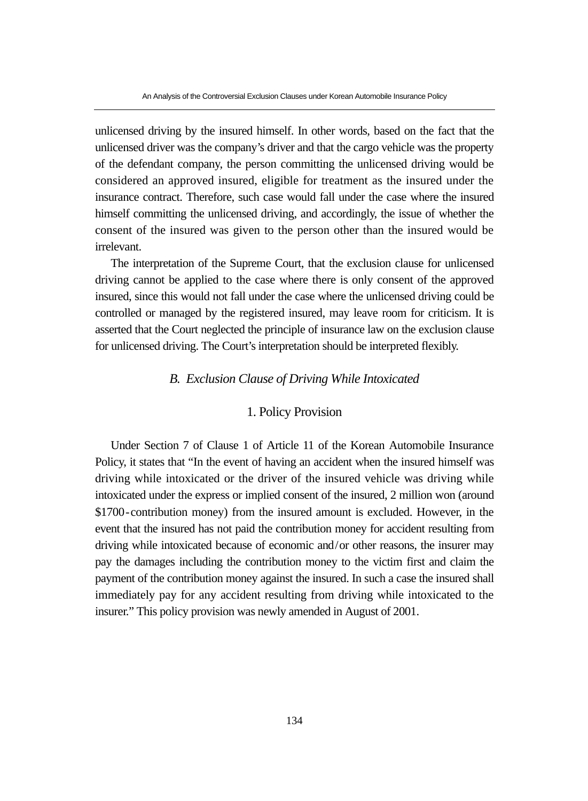unlicensed driving by the insured himself. In other words, based on the fact that the unlicensed driver was the company's driver and that the cargo vehicle was the property of the defendant company, the person committing the unlicensed driving would be considered an approved insured, eligible for treatment as the insured under the insurance contract. Therefore, such case would fall under the case where the insured himself committing the unlicensed driving, and accordingly, the issue of whether the consent of the insured was given to the person other than the insured would be irrelevant.

The interpretation of the Supreme Court, that the exclusion clause for unlicensed driving cannot be applied to the case where there is only consent of the approved insured, since this would not fall under the case where the unlicensed driving could be controlled or managed by the registered insured, may leave room for criticism. It is asserted that the Court neglected the principle of insurance law on the exclusion clause for unlicensed driving. The Court's interpretation should be interpreted flexibly.

#### *B. Exclusion Clause of Driving While Intoxicated*

## 1. Policy Provision

Under Section 7 of Clause 1 of Article 11 of the Korean Automobile Insurance Policy, it states that "In the event of having an accident when the insured himself was driving while intoxicated or the driver of the insured vehicle was driving while intoxicated under the express or implied consent of the insured, 2 million won (around \$1700-contribution money) from the insured amount is excluded. However, in the event that the insured has not paid the contribution money for accident resulting from driving while intoxicated because of economic and/or other reasons, the insurer may pay the damages including the contribution money to the victim first and claim the payment of the contribution money against the insured. In such a case the insured shall immediately pay for any accident resulting from driving while intoxicated to the insurer." This policy provision was newly amended in August of 2001.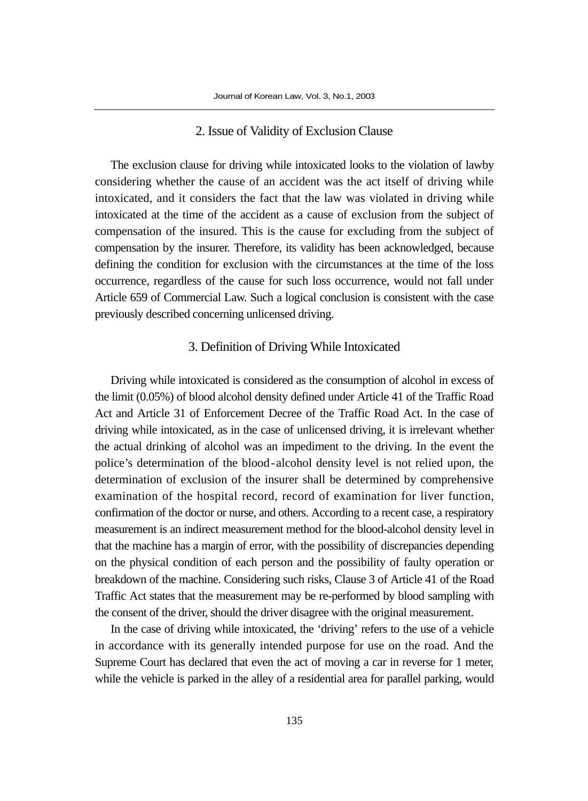#### 2. Issue of Validity of Exclusion Clause

The exclusion clause for driving while intoxicated looks to the violation of lawby considering whether the cause of an accident was the act itself of driving while intoxicated, and it considers the fact that the law was violated in driving while intoxicated at the time of the accident as a cause of exclusion from the subject of compensation of the insured. This is the cause for excluding from the subject of compensation by the insurer. Therefore, its validity has been acknowledged, because defining the condition for exclusion with the circumstances at the time of the loss occurrence, regardless of the cause for such loss occurrence, would not fall under Article 659 of Commercial Law. Such a logical conclusion is consistent with the case previously described concerning unlicensed driving.

#### 3. Definition of Driving While Intoxicated

Driving while intoxicated is considered as the consumption of alcohol in excess of the limit (0.05%) of blood alcohol density defined under Article 41 of the Traffic Road Act and Article 31 of Enforcement Decree of the Traffic Road Act. In the case of driving while intoxicated, as in the case of unlicensed driving, it is irrelevant whether the actual drinking of alcohol was an impediment to the driving. In the event the police's determination of the blood-alcohol density level is not relied upon, the determination of exclusion of the insurer shall be determined by comprehensive examination of the hospital record, record of examination for liver function, confirmation of the doctor or nurse, and others. According to a recent case, a respiratory measurement is an indirect measurement method for the blood-alcohol density level in that the machine has a margin of error, with the possibility of discrepancies depending on the physical condition of each person and the possibility of faulty operation or breakdown of the machine. Considering such risks, Clause 3 of Article 41 of the Road Traffic Act states that the measurement may be re-performed by blood sampling with the consent of the driver, should the driver disagree with the original measurement.

In the case of driving while intoxicated, the 'driving' refers to the use of a vehicle in accordance with its generally intended purpose for use on the road. And the Supreme Court has declared that even the act of moving a car in reverse for 1 meter, while the vehicle is parked in the alley of a residential area for parallel parking, would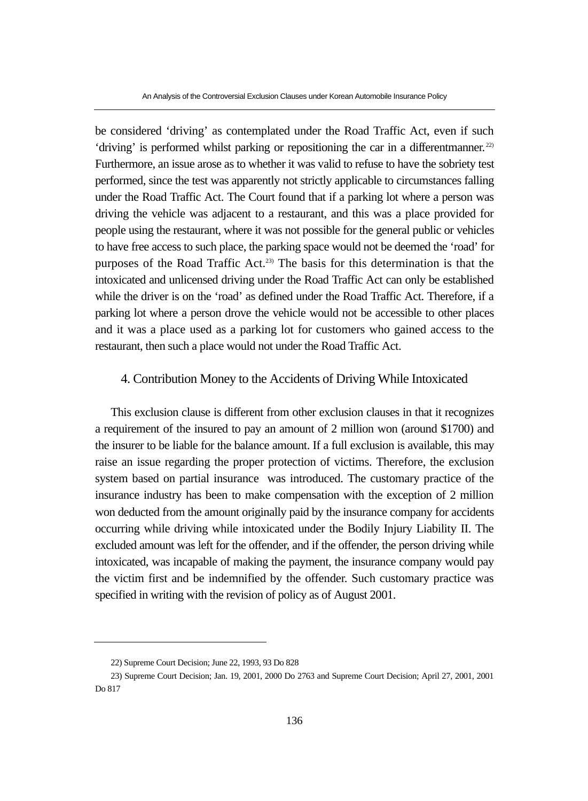be considered 'driving' as contemplated under the Road Traffic Act, even if such 'driving' is performed whilst parking or repositioning the car in a differentmanner.<sup>22)</sup> Furthermore, an issue arose as to whether it was valid to refuse to have the sobriety test performed, since the test was apparently not strictly applicable to circumstances falling under the Road Traffic Act. The Court found that if a parking lot where a person was driving the vehicle was adjacent to a restaurant, and this was a place provided for people using the restaurant, where it was not possible for the general public or vehicles to have free access to such place, the parking space would not be deemed the 'road' for purposes of the Road Traffic Act.23) The basis for this determination is that the intoxicated and unlicensed driving under the Road Traffic Act can only be established while the driver is on the 'road' as defined under the Road Traffic Act. Therefore, if a parking lot where a person drove the vehicle would not be accessible to other places and it was a place used as a parking lot for customers who gained access to the restaurant, then such a place would not under the Road Traffic Act.

#### 4. Contribution Money to the Accidents of Driving While Intoxicated

This exclusion clause is different from other exclusion clauses in that it recognizes a requirement of the insured to pay an amount of 2 million won (around \$1700) and the insurer to be liable for the balance amount. If a full exclusion is available, this may raise an issue regarding the proper protection of victims. Therefore, the exclusion system based on partial insurance was introduced. The customary practice of the insurance industry has been to make compensation with the exception of 2 million won deducted from the amount originally paid by the insurance company for accidents occurring while driving while intoxicated under the Bodily Injury Liability II. The excluded amount was left for the offender, and if the offender, the person driving while intoxicated, was incapable of making the payment, the insurance company would pay the victim first and be indemnified by the offender. Such customary practice was specified in writing with the revision of policy as of August 2001.

<sup>22)</sup> Supreme Court Decision; June 22, 1993, 93 Do 828

<sup>23)</sup> Supreme Court Decision; Jan. 19, 2001, 2000 Do 2763 and Supreme Court Decision; April 27, 2001, 2001 Do 817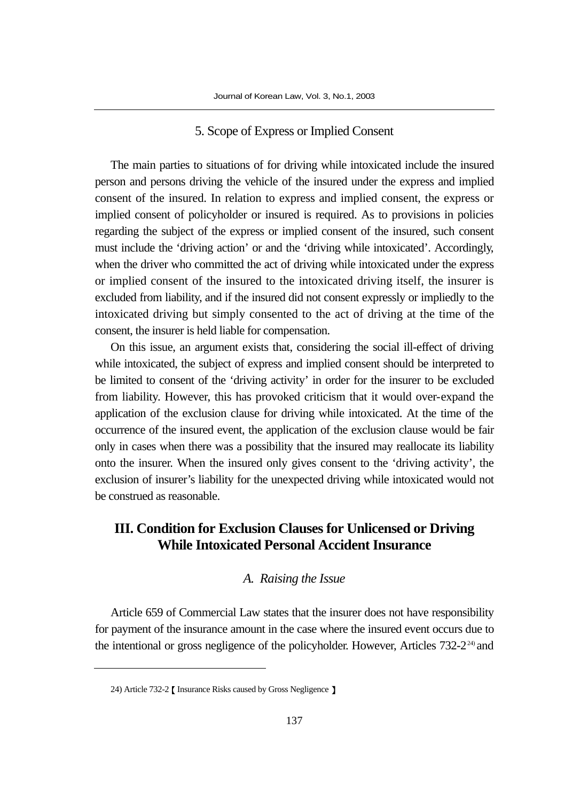#### 5. Scope of Express or Implied Consent

The main parties to situations of for driving while intoxicated include the insured person and persons driving the vehicle of the insured under the express and implied consent of the insured. In relation to express and implied consent, the express or implied consent of policyholder or insured is required. As to provisions in policies regarding the subject of the express or implied consent of the insured, such consent must include the 'driving action' or and the 'driving while intoxicated'. Accordingly, when the driver who committed the act of driving while intoxicated under the express or implied consent of the insured to the intoxicated driving itself, the insurer is excluded from liability, and if the insured did not consent expressly or impliedly to the intoxicated driving but simply consented to the act of driving at the time of the consent, the insurer is held liable for compensation.

On this issue, an argument exists that, considering the social ill-effect of driving while intoxicated, the subject of express and implied consent should be interpreted to be limited to consent of the 'driving activity' in order for the insurer to be excluded from liability. However, this has provoked criticism that it would over-expand the application of the exclusion clause for driving while intoxicated. At the time of the occurrence of the insured event, the application of the exclusion clause would be fair only in cases when there was a possibility that the insured may reallocate its liability onto the insurer. When the insured only gives consent to the 'driving activity', the exclusion of insurer's liability for the unexpected driving while intoxicated would not be construed as reasonable.

# **III. Condition for Exclusion Clauses for Unlicensed or Driving While Intoxicated Personal Accident Insurance**

## *A. Raising the Issue*

Article 659 of Commercial Law states that the insurer does not have responsibility for payment of the insurance amount in the case where the insured event occurs due to the intentional or gross negligence of the policyholder. However, Articles 732-2<sup>24)</sup> and

<sup>24)</sup> Article 732-2 [ Insurance Risks caused by Gross Negligence ]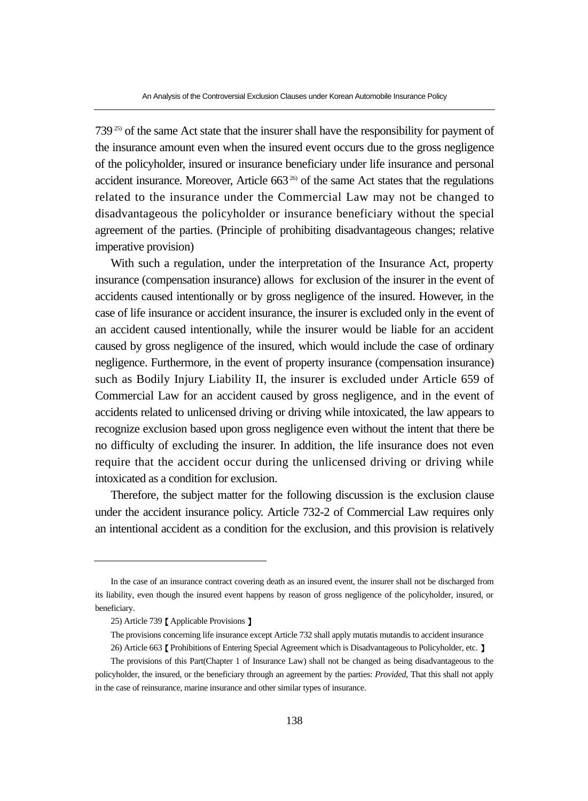$739^{25}$  of the same Act state that the insurer shall have the responsibility for payment of the insurance amount even when the insured event occurs due to the gross negligence of the policyholder, insured or insurance beneficiary under life insurance and personal accident insurance. Moreover, Article  $663<sup>26</sup>$  of the same Act states that the regulations related to the insurance under the Commercial Law may not be changed to disadvantageous the policyholder or insurance beneficiary without the special agreement of the parties. (Principle of prohibiting disadvantageous changes; relative imperative provision)

With such a regulation, under the interpretation of the Insurance Act, property insurance (compensation insurance) allows for exclusion of the insurer in the event of accidents caused intentionally or by gross negligence of the insured. However, in the case of life insurance or accident insurance, the insurer is excluded only in the event of an accident caused intentionally, while the insurer would be liable for an accident caused by gross negligence of the insured, which would include the case of ordinary negligence. Furthermore, in the event of property insurance (compensation insurance) such as Bodily Injury Liability II, the insurer is excluded under Article 659 of Commercial Law for an accident caused by gross negligence, and in the event of accidents related to unlicensed driving or driving while intoxicated, the law appears to recognize exclusion based upon gross negligence even without the intent that there be no difficulty of excluding the insurer. In addition, the life insurance does not even require that the accident occur during the unlicensed driving or driving while intoxicated as a condition for exclusion.

Therefore, the subject matter for the following discussion is the exclusion clause under the accident insurance policy. Article 732-2 of Commercial Law requires only an intentional accident as a condition for the exclusion, and this provision is relatively

In the case of an insurance contract covering death as an insured event, the insurer shall not be discharged from its liability, even though the insured event happens by reason of gross negligence of the policyholder, insured, or beneficiary.

<sup>25)</sup> Article 739 *[Applicable Provisions* ]

The provisions concerning life insurance except Article 732 shall apply mutatis mutandis to accident insurance 26) Article 663 Prohibitions of Entering Special Agreement which is Disadvantageous to Policyholder, etc. ]

The provisions of this Part(Chapter 1 of Insurance Law) shall not be changed as being disadvantageous to the policyholder, the insured, or the beneficiary through an agreement by the parties: *Provided*, That this shall not apply in the case of reinsurance, marine insurance and other similar types of insurance.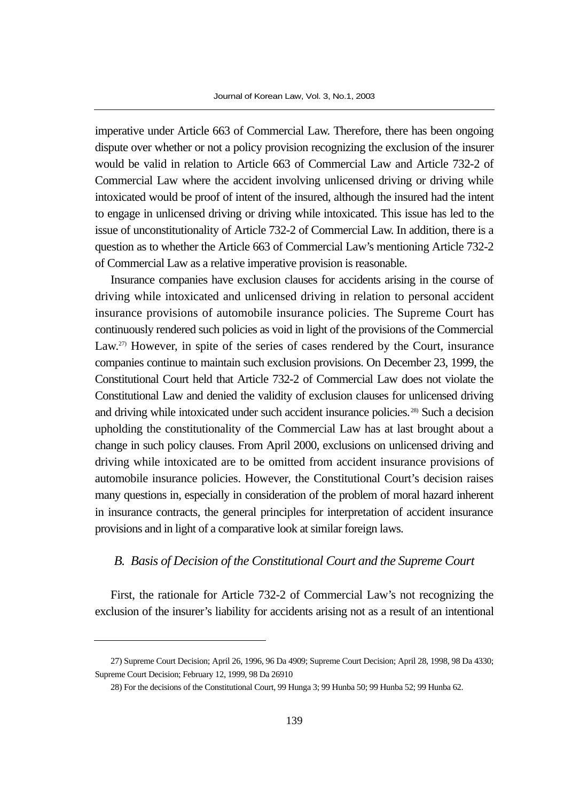imperative under Article 663 of Commercial Law. Therefore, there has been ongoing dispute over whether or not a policy provision recognizing the exclusion of the insurer would be valid in relation to Article 663 of Commercial Law and Article 732-2 of Commercial Law where the accident involving unlicensed driving or driving while intoxicated would be proof of intent of the insured, although the insured had the intent to engage in unlicensed driving or driving while intoxicated. This issue has led to the issue of unconstitutionality of Article 732-2 of Commercial Law. In addition, there is a question as to whether the Article 663 of Commercial Law's mentioning Article 732-2 of Commercial Law as a relative imperative provision is reasonable.

Insurance companies have exclusion clauses for accidents arising in the course of driving while intoxicated and unlicensed driving in relation to personal accident insurance provisions of automobile insurance policies. The Supreme Court has continuously rendered such policies as void in light of the provisions of the Commercial Law.<sup>27)</sup> However, in spite of the series of cases rendered by the Court, insurance companies continue to maintain such exclusion provisions. On December 23, 1999, the Constitutional Court held that Article 732-2 of Commercial Law does not violate the Constitutional Law and denied the validity of exclusion clauses for unlicensed driving and driving while intoxicated under such accident insurance policies.<sup>28)</sup> Such a decision upholding the constitutionality of the Commercial Law has at last brought about a change in such policy clauses. From April 2000, exclusions on unlicensed driving and driving while intoxicated are to be omitted from accident insurance provisions of automobile insurance policies. However, the Constitutional Court's decision raises many questions in, especially in consideration of the problem of moral hazard inherent in insurance contracts, the general principles for interpretation of accident insurance provisions and in light of a comparative look at similar foreign laws.

#### *B. Basis of Decision of the Constitutional Court and the Supreme Court*

First, the rationale for Article 732-2 of Commercial Law's not recognizing the exclusion of the insurer's liability for accidents arising not as a result of an intentional

<sup>27)</sup> Supreme Court Decision; April 26, 1996, 96 Da 4909; Supreme Court Decision; April 28, 1998, 98 Da 4330; Supreme Court Decision; February 12, 1999, 98 Da 26910

<sup>28)</sup> For the decisions of the Constitutional Court, 99 Hunga 3; 99 Hunba 50; 99 Hunba 52; 99 Hunba 62.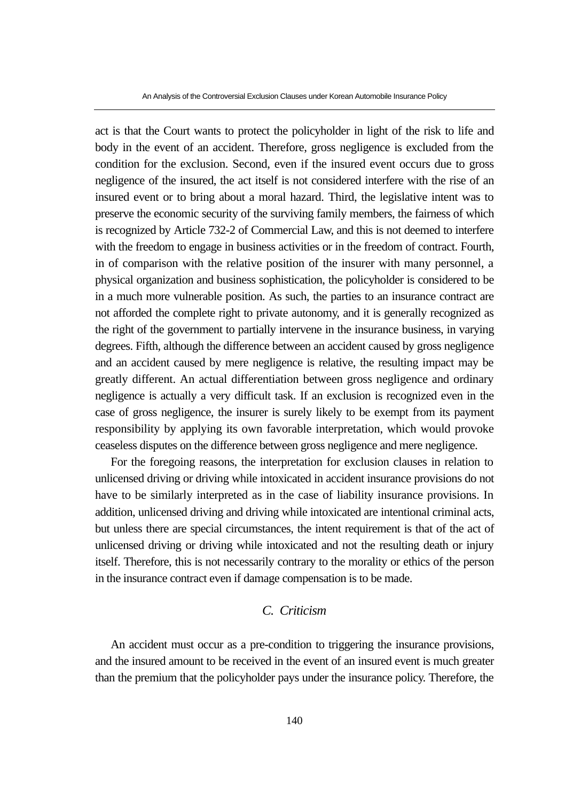act is that the Court wants to protect the policyholder in light of the risk to life and body in the event of an accident. Therefore, gross negligence is excluded from the condition for the exclusion. Second, even if the insured event occurs due to gross negligence of the insured, the act itself is not considered interfere with the rise of an insured event or to bring about a moral hazard. Third, the legislative intent was to preserve the economic security of the surviving family members, the fairness of which is recognized by Article 732-2 of Commercial Law, and this is not deemed to interfere with the freedom to engage in business activities or in the freedom of contract. Fourth, in of comparison with the relative position of the insurer with many personnel, a physical organization and business sophistication, the policyholder is considered to be in a much more vulnerable position. As such, the parties to an insurance contract are not afforded the complete right to private autonomy, and it is generally recognized as the right of the government to partially intervene in the insurance business, in varying degrees. Fifth, although the difference between an accident caused by gross negligence and an accident caused by mere negligence is relative, the resulting impact may be greatly different. An actual differentiation between gross negligence and ordinary negligence is actually a very difficult task. If an exclusion is recognized even in the case of gross negligence, the insurer is surely likely to be exempt from its payment responsibility by applying its own favorable interpretation, which would provoke ceaseless disputes on the difference between gross negligence and mere negligence.

For the foregoing reasons, the interpretation for exclusion clauses in relation to unlicensed driving or driving while intoxicated in accident insurance provisions do not have to be similarly interpreted as in the case of liability insurance provisions. In addition, unlicensed driving and driving while intoxicated are intentional criminal acts, but unless there are special circumstances, the intent requirement is that of the act of unlicensed driving or driving while intoxicated and not the resulting death or injury itself. Therefore, this is not necessarily contrary to the morality or ethics of the person in the insurance contract even if damage compensation is to be made.

# *C. Criticism*

An accident must occur as a pre-condition to triggering the insurance provisions, and the insured amount to be received in the event of an insured event is much greater than the premium that the policyholder pays under the insurance policy. Therefore, the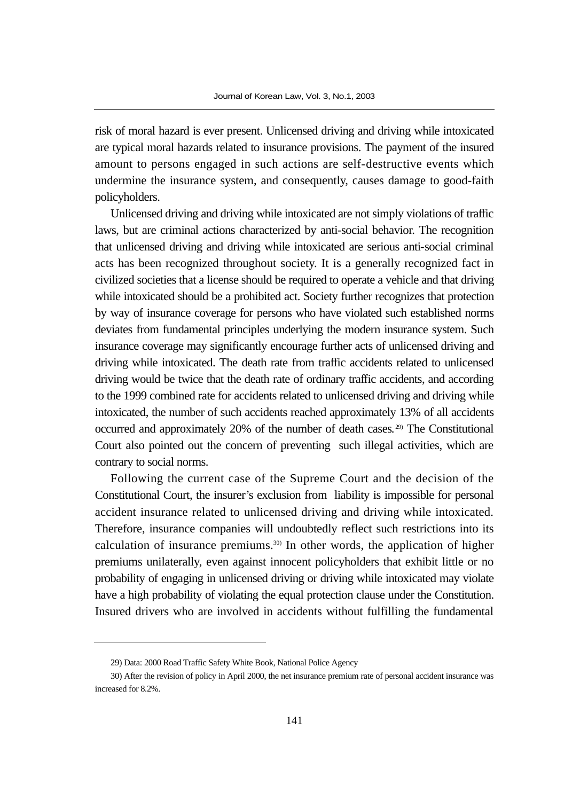risk of moral hazard is ever present. Unlicensed driving and driving while intoxicated are typical moral hazards related to insurance provisions. The payment of the insured amount to persons engaged in such actions are self-destructive events which undermine the insurance system, and consequently, causes damage to good-faith policyholders.

Unlicensed driving and driving while intoxicated are not simply violations of traffic laws, but are criminal actions characterized by anti-social behavior. The recognition that unlicensed driving and driving while intoxicated are serious anti-social criminal acts has been recognized throughout society. It is a generally recognized fact in civilized societies that a license should be required to operate a vehicle and that driving while intoxicated should be a prohibited act. Society further recognizes that protection by way of insurance coverage for persons who have violated such established norms deviates from fundamental principles underlying the modern insurance system. Such insurance coverage may significantly encourage further acts of unlicensed driving and driving while intoxicated. The death rate from traffic accidents related to unlicensed driving would be twice that the death rate of ordinary traffic accidents, and according to the 1999 combined rate for accidents related to unlicensed driving and driving while intoxicated, the number of such accidents reached approximately 13% of all accidents occurred and approximately 20% of the number of death cases. 29) The Constitutional Court also pointed out the concern of preventing such illegal activities, which are contrary to social norms.

Following the current case of the Supreme Court and the decision of the Constitutional Court, the insurer's exclusion from liability is impossible for personal accident insurance related to unlicensed driving and driving while intoxicated. Therefore, insurance companies will undoubtedly reflect such restrictions into its calculation of insurance premiums.30) In other words, the application of higher premiums unilaterally, even against innocent policyholders that exhibit little or no probability of engaging in unlicensed driving or driving while intoxicated may violate have a high probability of violating the equal protection clause under the Constitution. Insured drivers who are involved in accidents without fulfilling the fundamental

<sup>29)</sup> Data: 2000 Road Traffic Safety White Book, National Police Agency

<sup>30)</sup> After the revision of policy in April 2000, the net insurance premium rate of personal accident insurance was increased for 8.2%.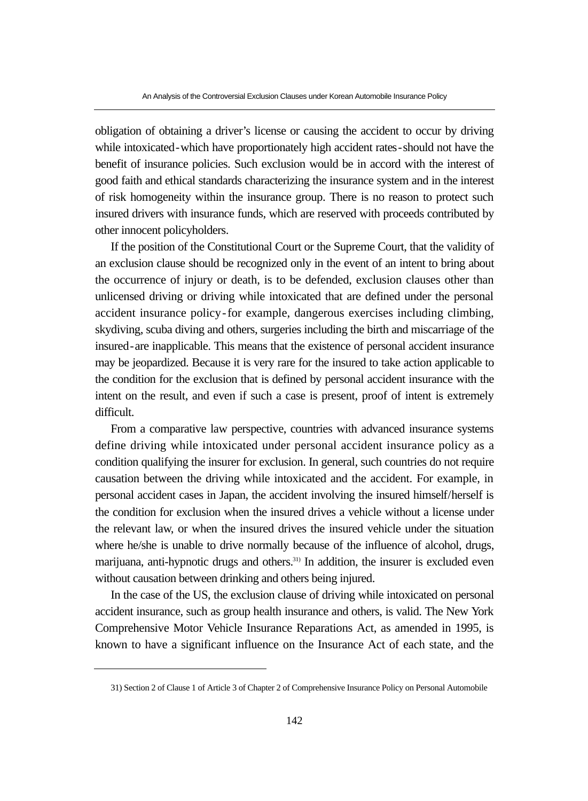obligation of obtaining a driver's license or causing the accident to occur by driving while intoxicated-which have proportionately high accident rates-should not have the benefit of insurance policies. Such exclusion would be in accord with the interest of good faith and ethical standards characterizing the insurance system and in the interest of risk homogeneity within the insurance group. There is no reason to protect such insured drivers with insurance funds, which are reserved with proceeds contributed by other innocent policyholders.

If the position of the Constitutional Court or the Supreme Court, that the validity of an exclusion clause should be recognized only in the event of an intent to bring about the occurrence of injury or death, is to be defended, exclusion clauses other than unlicensed driving or driving while intoxicated that are defined under the personal accident insurance policy-for example, dangerous exercises including climbing, skydiving, scuba diving and others, surgeries including the birth and miscarriage of the insured-are inapplicable. This means that the existence of personal accident insurance may be jeopardized. Because it is very rare for the insured to take action applicable to the condition for the exclusion that is defined by personal accident insurance with the intent on the result, and even if such a case is present, proof of intent is extremely difficult.

From a comparative law perspective, countries with advanced insurance systems define driving while intoxicated under personal accident insurance policy as a condition qualifying the insurer for exclusion. In general, such countries do not require causation between the driving while intoxicated and the accident. For example, in personal accident cases in Japan, the accident involving the insured himself/herself is the condition for exclusion when the insured drives a vehicle without a license under the relevant law, or when the insured drives the insured vehicle under the situation where he/she is unable to drive normally because of the influence of alcohol, drugs, marijuana, anti-hypnotic drugs and others.<sup>31)</sup> In addition, the insurer is excluded even without causation between drinking and others being injured.

In the case of the US, the exclusion clause of driving while intoxicated on personal accident insurance, such as group health insurance and others, is valid. The New York Comprehensive Motor Vehicle Insurance Reparations Act, as amended in 1995, is known to have a significant influence on the Insurance Act of each state, and the

<sup>31)</sup> Section 2 of Clause 1 of Article 3 of Chapter 2 of Comprehensive Insurance Policy on Personal Automobile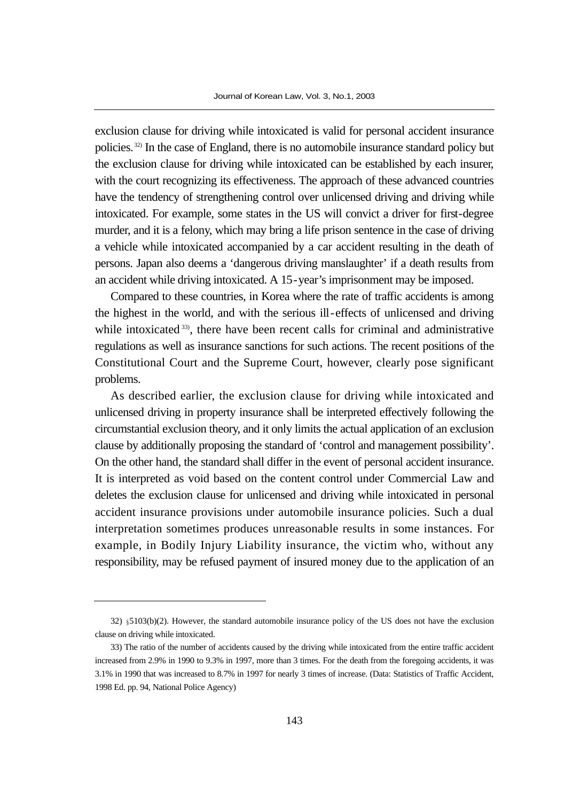exclusion clause for driving while intoxicated is valid for personal accident insurance policies. 32) In the case of England, there is no automobile insurance standard policy but the exclusion clause for driving while intoxicated can be established by each insurer, with the court recognizing its effectiveness. The approach of these advanced countries have the tendency of strengthening control over unlicensed driving and driving while intoxicated. For example, some states in the US will convict a driver for first-degree murder, and it is a felony, which may bring a life prison sentence in the case of driving a vehicle while intoxicated accompanied by a car accident resulting in the death of persons. Japan also deems a 'dangerous driving manslaughter' if a death results from an accident while driving intoxicated. A 15-year's imprisonment may be imposed.

Compared to these countries, in Korea where the rate of traffic accidents is among the highest in the world, and with the serious ill-effects of unlicensed and driving while intoxicated <sup>33</sup>, there have been recent calls for criminal and administrative regulations as well as insurance sanctions for such actions. The recent positions of the Constitutional Court and the Supreme Court, however, clearly pose significant problems.

As described earlier, the exclusion clause for driving while intoxicated and unlicensed driving in property insurance shall be interpreted effectively following the circumstantial exclusion theory, and it only limits the actual application of an exclusion clause by additionally proposing the standard of 'control and management possibility'. On the other hand, the standard shall differ in the event of personal accident insurance. It is interpreted as void based on the content control under Commercial Law and deletes the exclusion clause for unlicensed and driving while intoxicated in personal accident insurance provisions under automobile insurance policies. Such a dual interpretation sometimes produces unreasonable results in some instances. For example, in Bodily Injury Liability insurance, the victim who, without any responsibility, may be refused payment of insured money due to the application of an

<sup>32) 5103(</sup>b)(2). However, the standard automobile insurance policy of the US does not have the exclusion clause on driving while intoxicated.

<sup>33)</sup> The ratio of the number of accidents caused by the driving while intoxicated from the entire traffic accident increased from 2.9% in 1990 to 9.3% in 1997, more than 3 times. For the death from the foregoing accidents, it was 3.1% in 1990 that was increased to 8.7% in 1997 for nearly 3 times of increase. (Data: Statistics of Traffic Accident, 1998 Ed. pp. 94, National Police Agency)